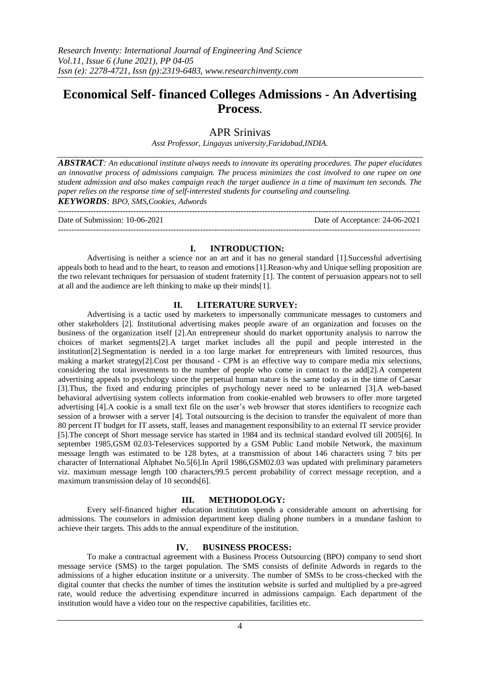# **Economical Self- financed Colleges Admissions - An Advertising Process**.

## APR Srinivas

*Asst Professor, Lingayas university,Faridabad,INDIA.*

| <b>ABSTRACT:</b> An educational institute always needs to innovate its operating procedures. The paper elucidates |
|-------------------------------------------------------------------------------------------------------------------|
| an innovative process of admissions campaign. The process minimizes the cost involved to one rupee on one         |
| student admission and also makes campaign reach the target audience in a time of maximum ten seconds. The         |
| paper relies on the response time of self-interested students for counseling and counseling.                      |
| <b>KEYWORDS: BPO, SMS, Cookies, Adwords</b>                                                                       |
|                                                                                                                   |

Date of Submission: 10-06-2021 Date of Acceptance: 24-06-2021 ---------------------------------------------------------------------------------------------------------------------------------------

#### **I. INTRODUCTION:**

Advertising is neither a science nor an art and it has no general standard [1].Successful advertising appeals both to head and to the heart, to reason and emotions [1].Reason-why and Unique selling proposition are the two relevant techniques for persuasion of student fraternity [1]. The content of persuasion appears not to sell at all and the audience are left thinking to make up their minds[1].

### **II. LITERATURE SURVEY:**

Advertising is a tactic used by marketers to impersonally communicate messages to customers and other stakeholders [2]. Institutional advertising makes people aware of an organization and focuses on the business of the organization itself [2].An entrepreneur should do market opportunity analysis to narrow the choices of market segments[2].A target market includes all the pupil and people interested in the institution[2].Segmentation is needed in a too large market for entrepreneurs with limited resources, thus making a market strategy[2].Cost per thousand - CPM is an effective way to compare media mix selections, considering the total investments to the number of people who come in contact to the add[2].A competent advertising appeals to psychology since the perpetual human nature is the same today as in the time of Caesar [3].Thus, the fixed and enduring principles of psychology never need to be unlearned [3].A web-based behavioral advertising system collects information from cookie-enabled web browsers to offer more targeted advertising [4].A cookie is a small text file on the user's web browser that stores identifiers to recognize each session of a browser with a server [4]. Total outsourcing is the decision to transfer the equivalent of more than 80 percent IT budget for IT assets, staff, leases and management responsibility to an external IT service provider [5].The concept of Short message service has started in 1984 and its technical standard evolved till 2005[6]. In september 1985,GSM 02.03-Teleservices supported by a GSM Public Land mobile Network, the maximum message length was estimated to be 128 bytes, at a transmission of about 146 characters using 7 bits per character of International Alphabet No.5[6].In April 1986,GSM02.03 was updated with preliminary parameters viz. maximum message length 100 characters,99.5 percent probability of correct message reception, and a maximum transmission delay of 10 seconds[6].

#### **III. METHODOLOGY:**

Every self-financed higher education institution spends a considerable amount on advertising for admissions. The counselors in admission department keep dialing phone numbers in a mundane fashion to achieve their targets. This adds to the annual expenditure of the institution.

#### **IV. BUSINESS PROCESS:**

To make a contractual agreement with a Business Process Outsourcing (BPO) company to send short message service (SMS) to the target population. The SMS consists of definite Adwords in regards to the admissions of a higher education institute or a university. The number of SMSs to be cross-checked with the digital counter that checks the number of times the institution website is surfed and multiplied by a pre-agreed rate, would reduce the advertising expenditure incurred in admissions campaign. Each department of the institution would have a video tour on the respective capabilities, facilities etc.